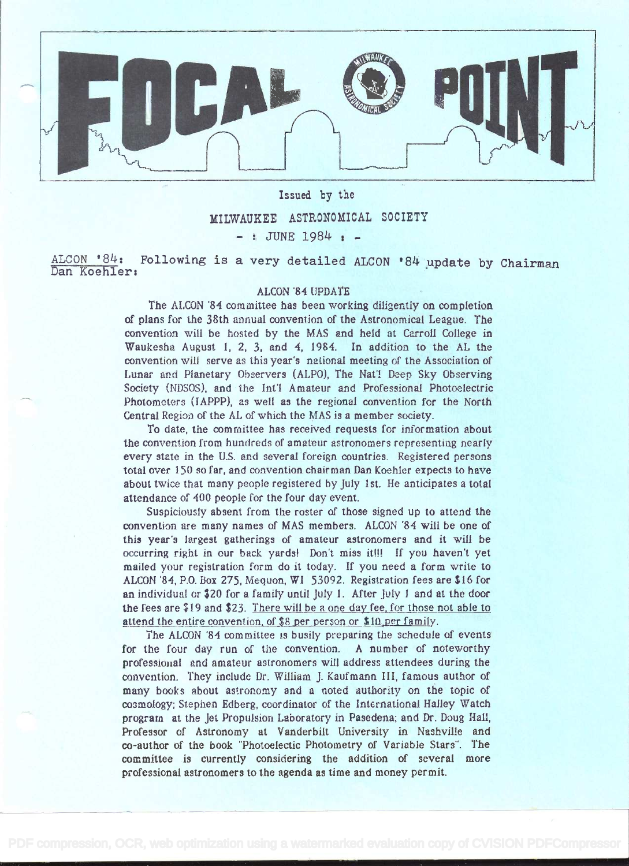

Issued by the MILWAUKEE ASTRONOMICAL SOCIETY  $-$  : JUNE 1984  $+$  -

ALCON  $84:$  Following is a very detailed ALCON  $84$  update by Chairman Dan Koehier:

## ALCON '84 UPDATE

The ALCON '84 committee has been working diligently on completion of plans for the 38th annual convention of the Astronomical League. The convention will be hosted by the MAS and held at Carroll College in Waukesha August 1, 2, 3, and 4, 1984. In addition to the AL the convention will serve as this year's national meeting of the Association of Lunar and Planetary Observers (ALPO), The Nat'! Deep Sky Observing Society (NDSOS), and the Int'l Amateur and Professional Photoelectric Photometers (JAPPP), as well as the regional convention for the North Central Region of the AL of which the MAS is a member society.

To date, the committee has received requests for information about the convention from hundreds of amateur astronomers representing nearly every state in the U.S. and several foreign countries. Registered persons total over 150 so far, and convention chairman Dan Koehler expects to have about twice that many people registered by July 1 st. He anticipates a total attendance of 400 people for the four day event.

Suspiciously absent from the roster of those signed up to attend the convention are many names of MAS members. ALCON '84 will be one of this year's largest gatheringa of amateur astronomers and it will be occurring right in our back yards! Don't miss it!!! If you haven't yet mailed your registration form do it today. If you need a form write to ALCON 84, P.O. Box 275, Mequon, WI 53092. Registration fees are \$16 for an individual or \$20 for a family until July 1. After july J and at the door the fees are  $$19$  and  $$23$ . There will be a one day fee, for those not able to attend the entire convention, of \$8 per person or \$10 per family.

The ALCON '84 committee is busily preparing the schedule of events for the four day run of the convention. A number of noteworthy professional and amateur astronomers will address attendees during the convention. They include Dr. William J. Kaufmann III, famous author of many books about astronomy and a noted authority on the topic of co3mology; Stephen Edberg, coordinator of the lntcrnational Halley Watch program at the Jet Propulsion Laboratory in Pasedena; and Dr. Doug Hall, Professor of Astronomy at Vanderbilt University in Nashville and co-author of the book "Photoelectic Photometry of Variable Stars'. The committee is currently considering the addition of several more professional astronomers to the agenda as time and money permit.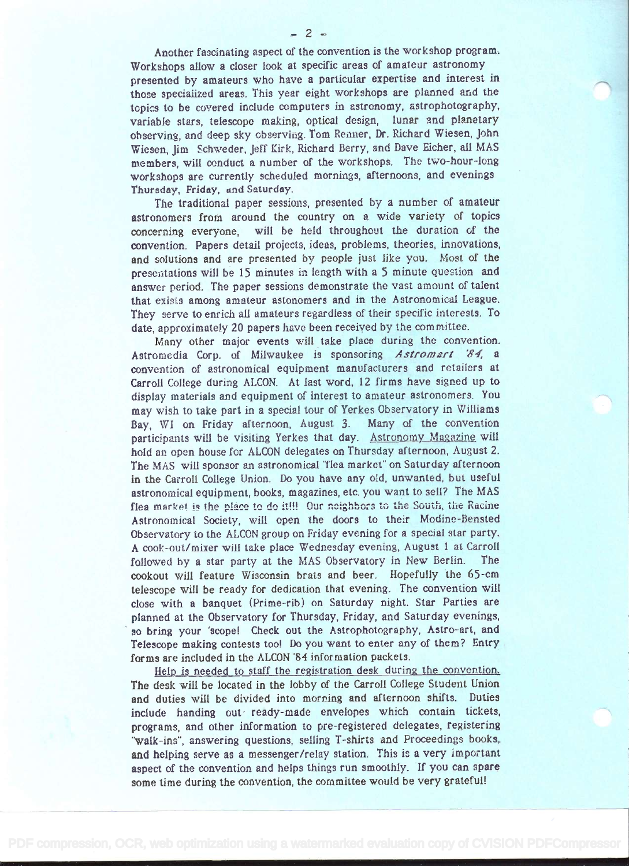Another fascinating aspect of the convention is the workshop program. Workshops allow a closer look at specific areas of amateur astronomy presented by amateurs who have a particular expertise and interest in those specialized areas. This year eight workshops are planned and the topics to be covered include computers in astronomy, astrophotography, variable stars, telescope making, optical design, lunar and planetary observing, and deep sky observing. Tom Renner, Dr. Richard Wiesen, John Wiesen, Jim Schweder, Jeff Kirk, Richard Berry, and Dave Bicher, ail MAS members, will conduct a number of the workshops. The two-hour-long workshops are currently scheduled mornings, afternoons, and evenings

The traditional paper sessions, presented by a number of amateur astronomers from around the country on a wide variety of topics concerning everyone, will be held throughout the duration of the convention. Papers detail projects, ideas, problems, theories, innovations, and solutions and are presented by people just like you. Most of the presentations will be 15 minutes in length with a 5 minute question and answer period. The paper sessions demonstrate the vast amount of talent that exists among amateur astonomers and in the Astronomical League. They serve to enrich all amateurs regardless of their specific interests. To date, approximately 20 papers have been received by the committee.

Thursday, Friday, and Saturday.

Many other major events will take place during the convention. Astromedia Corp. of Milwaukee is sponsoring Astromart '84, a convention of astronomical equipment manufacturers and retailers at Carroll College during ALCON. At last word, 12 firms have signed up to display materials and equipment of interest to amateur astronomers. You may wish to take part in a special tour of Yerkes Observatory in Williams Bay, WI on Friday afternoon, August 3. Many of the convention participants will be visiting Yerkes that day. Astronomy Magazine will hold an open house for ALCON delegates on Thursday afternoon, August 2. The MAS will sponsor an astronomical "flea market" on Saturday afternoon in the Carroll College Union. Do you have any old, unwanted, but useful astronomical equipment, books, magazines, etc. you want to sell? The MAS flea market is the place to do it!!! Our neighbors to the South, the Racine Astronomical Society, vill open the doors to their Modine-Bensted Observatory to the ALCUN group on Friday evening for a special star party. <sup>A</sup>cook-out/mixer will take place Wednesday evening, August 1 at Carroll followed by a star party at the MAS Observatory in New Berlin. The cookout will feature Wisconsin brats and beer. Hopefully the 65-cm telescope will be ready for dedication that evening. The convention will close with a banquet (Prime-rib) on Saturday night. Star Parties are planned at the Observatory for Thursday, Friday, and Saturday evenings, so bring your 'scopel Check out the Astrophotography, Astro-art, and Telescope making contests too! Do you want to enter any of them? Entry forms are included in the ALCON '84 information packets.

Help is needed to staff the registration desk during the convention. The desk will be located in the lobby of the Carroll College Student Union and duties will be divided into morning and afternoon shifts. Duties include handing out ready-made envelopes which contain tickets, programs, and other information to pre-registered delegates, registering "walk-ins", answering questions, selling T-shirts and Proceedings books, and helping serve as a messenger/relay station. This is a very important aspect of the convention and helps things run smoothly. If you can spare some time during the convention, the committee would be very grateful!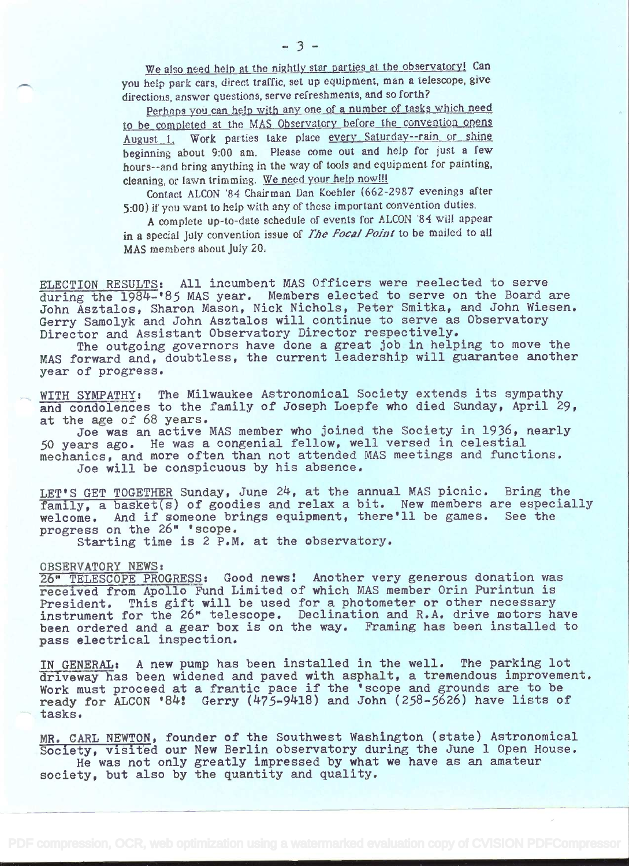We also need help at the nightly star parties at the observatory! Can you help park cars, direct traffic, set up equipment, man a telescope, give directions, answer questions, serve refreshments, and so forth?

Perhaps you can help with any one of a number of tasks which need to be completed at the MAS Observatory before the convention opens August 1. Work parties take place every Saturday--rain or shine beginning about 9:00 am. Please come out and help for just a few hours- -and bring anything in the way of tools and equipment for painting, cleaning, or lawn trimming. We need your help now!!!

Contact ALCON 84 Chairman Dan Koehler (662-2987 evenings after 5:00) if you want to help with any of these important convention duties.

A complete up-to-date schedule of events for ALCON '84 will appear in a special July convention issue of The Focal Point to be mailed to all MAS members about July 20.

ELECTION RESULTS: All incumbent MAS Officers were reelected to serve during the 1984-'85 MAS year. Members elected to serve on the Board are John Asztalos, Sharon Mason, Nick Nichols, Peter Smitka, and John Wiesen. Gerry Samolyk and John Asztalos will continue to serve as Observatory Director and Assistant Observatory Director respectively.

The outgoing governors have done a great job in helping to move the MAS forward and, doubtless, the current leadership will guarantee another year of progress.

WITH SYMPATHY: The Milwaukee Astronomical Society extends its sympathy and condolences to the family of Joseph Loepfe who died Sunday, April 29, at the age of 68 years.

Joe was an active MAS member who joined the Society in 1936, nearly .50 years ago. He was a congenial fellow, well versed in celestial mechanics, and more often than not attended MAS meetings and functions. Joe will be conspicuous by his absence.

LET'S GET TOGETHER Sunday, June 24, at the annual MAS picnic. Bring the family, a basket(s) of goodies and relax a bit. New members are especially welcome. And if someone brings equipment, there'll be games. See the progress on the 26" 'scope.

Starting time is 2 P.M. at the observatory.

## OBSERVATORY NEWS:

26" TELESCOPE PROGRESS: Good news! Another very generous donation was received from Apollo Fund Limited of which MAS member Orin Purintun is President. This gift will be used for a photometer or other necessary instrument for the 26" telescope. Declination and R.A. drive motors have been ordered and a gear box is on the way. Framing has been installed to pass electrical inspection.

IN GENERAL: A new pump has been installed in the well. The parking lot driveway has been widened and paved with asphalt, a tremendous improvement. Work must proceed at a frantic pace if the 'scope and grounds are to be ready for ALCON '84'! Gerry (1475\_9k18) and John (258-5626) have lists of - tasks.

MR. CARL NEWTON, founder of the Southwest Washington (state) Astronomical Society, visited our New Berlin observatory during the June 1 Open House. He was not only greatly impressed by what we have as an amateur society, but also by the quantity and quality.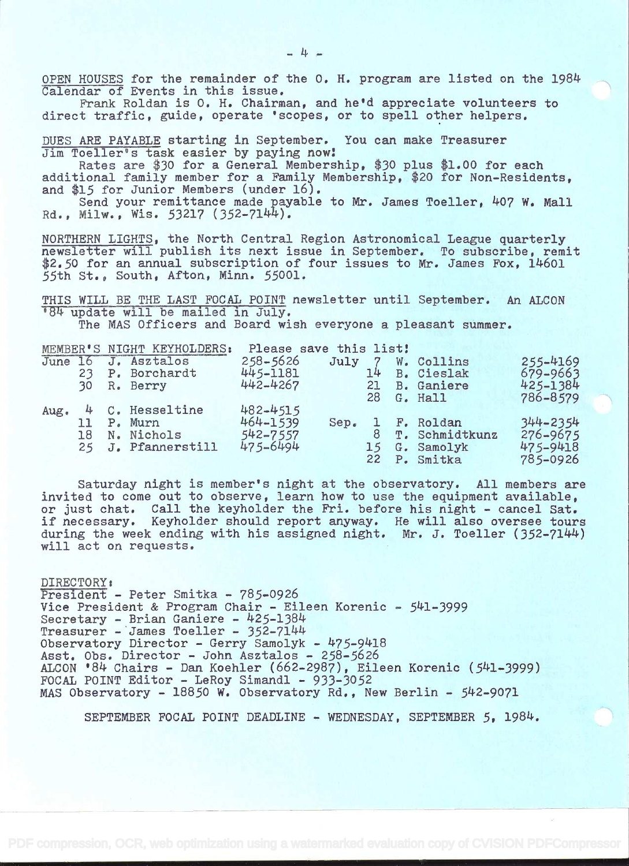OPEN HOUSES for the remainder of the O. H. program are listed on the 1984 Calendar of Events in this issue.

Prank Roldan is O. H. Chairman, and he'd appreciate volunteers to direct traffic, guide, operate 'scopes, or to spell other helpers.

DUES ARE PAYABLE starting in September. You can make Treasurer Jim Toeller's task easier by paying now

Rates are \$30 for a General Membership, \$30 plus \$1.00 for each additional family member for a Family Membership, \$20 for Non-Residents, and \$15 for Junior Members (under 16).

Send your remittance made payable to Mr. James Toeller, 407 W. Mall Rd., Milw.., Wis. 53217 (352-7144).

NORTHERN LIGHTS, the North Central Region Astronomical League quarterly newsletter will publish its next issue in September. To subscribe, remit \$2.50 for an annual subscription of four issues to Mr. James Fox, 14601 55th St., South, Afton, Minn. 55001.

THIS WILL BE THE LAST FOCAL POINT newsletter until September. An ALCON '84 update will be mailed in July. The MAS Officers and Board wish everyone a pleasant summer.

|      |    | MEMBER'S NIGHT KEYHOLDERS: | Please save this list! |                 |    |                   |          |  |
|------|----|----------------------------|------------------------|-----------------|----|-------------------|----------|--|
|      |    | June 16 J. Asztalos        | $258 - 5626$           |                 |    | July 7 W. Collins | 255-4169 |  |
|      | 23 | P. Borchardt               | 445-1181               |                 | 14 | B. Cieslak        | 679-9663 |  |
|      | 30 | R. Berry                   | 442-4267               |                 | 21 | B. Ganiere        | 425-1384 |  |
|      |    |                            |                        |                 | 28 | G. Hall           | 786-8579 |  |
| Aug. |    | 4 C. Hesseltine            | 482-4515               |                 |    |                   |          |  |
|      | 11 | P. Murn                    | 464-1539               | $Sep_{\bullet}$ |    | 1 F. Roldan       | 344-2354 |  |
|      | 18 | N. Nichols                 | 542-7557               |                 |    | T. Schmidtkunz    | 276-9675 |  |
|      |    | 25 J. Pfannerstill         | 475-6494               |                 |    | 15 G. Samolyk     | 475-9418 |  |
|      |    |                            |                        |                 |    | 22 P. Smitka      | 785-0926 |  |

Saturday night is member's night at the observatory. All members are invited to come out to observe, or just chat. Call the keyholder the Fri if necessary. Keyholder should report anyway. He will also oversee tours during the week ending with his assigned night. Mr. J. Toeller (352-7144) will act on requests. learn how to use the equipment available, r the Fri. before his night - cancel Sat.

DIRECTORY President - Peter Smitka - 785-0926 Vice President & Program Chair - Eileen Korenic - 541-3999 Secretary - Brian Ganiere - 425-1384 Treasurer - James Toeller - 352-7144 Observatory Director - Gerry Samolyk - 475-9418 Asst. Obs. Director - John Asztalos - 258-5626 ALCON '84 Chairs - Dan Koehler (662-2987), Eileen Korenic (541-3999) FOCAL POINT Editor - LeRoy Simandl - 933-3052 MAS Observatory - 18850 W. Observatory Rd., New Berlin - 542-9071

SEPTEMBER FOCAL POINT DEADLINE - WEDNESDAY, SEPTEMBER 5, 1984.